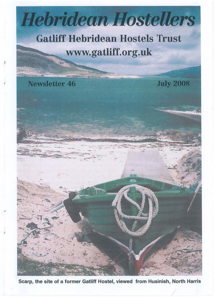# **Hebridean Hostellers**

# **Gatliff Hebridean Hostels Trust** www.gatliff.org.uk

**Newsletter 46** 

J

**July 2008** 

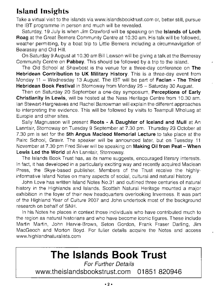# Island Insights

Take a virtual visit to the islands via www.islandsbooktrust.com or, better still, pursue the IBT programme in person and much will be revealed.

Saturday, 19 July is when Jim Crawford will be speaking on the Islands of Loch Roag at the Great Bernera Community Centre at 10.30 am. His talk will be followed, weather permitting, by a boat trip to Little Bernera including a circumnavigation of Bearasay and Old Hill.

On Saturday 9 August at 10.30 am Bill Lawson will be giving a talk at the Berneray Community Centre on Pabbay. This should be followed by a trip to the island.

The Old School at Shawbost is the venue for a three-day conference on The Hebridean Contribution to UK Military History. This is a three-day event from Monday 11 - Wednesday 13 August. The IBT will be part of Faclan - The Third Hebridean Book Festival in Stornoway from Monday 25 - Saturday 30 August.

Then on Saturday 20 September a one-day symposium, Perceptions of Early Christianity in Lewis, will be hosted at the Ness Heritage Centre from 10.30 am. Ian Stewart-Hargreaves and Rachel Barrowman will explain the different approaches to interpreting the evidence. This will be followed by visits to Teampull Mholuag at Europie and other sites.

Sally Magnusson will present Roots - A Daughter of Iceland and Mull at An Lanntair, Stornoway on Tuesday 9 September at 7.30 pm. Thursday 23 October at 7.30 pm is set for the 5th Angus Macleod Memorial Lecture to take place at the Pairc School, Gravir. The speaker will be announced later, but on Tuesday 11 November at 7.30 pm Fred Silver will be speaking on Making Oil from Peat - When Lewis Led the World at An Lanntair, Stornoway.

The Islands Book Trust has, as its name suggests, encouraged literary interests. In fact, it has developed in a particularly exciting way and recently acquired Maclean Press, the Skye-based publisher. Members of the Trust receive the highlyinformative Island Notes on many aspects of social, cultural and natural history.

John Love has written Island Notes NO.31 and outlined three centuries of natural history in the Highlands and Islands. Scottish Natural Heritage mounted a major exhibition in the foyer of their new headquarters overlooking Inverness. It was part of the Highland Year of Culture 2007 and John undertook most of the background research on behalf of SNH.

In his Notes he places in context those individuals who have contributed much to the region as natural historians and who have become iconic figures. These include Martin Martin, John Harvie-Brown, Seton Gordon, Frank Fraser Darling, Jim MacGeoch and Morton Boyd. For fuller details acquire the Notes and access www.highlandnaturalists.com

# **The Islands Book Trust**

For Further Details www.theislandsbookstrust.com 01851 820946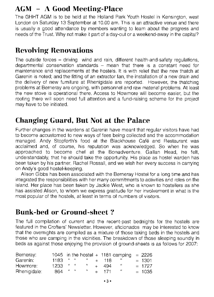## **AGM - A Good Meeting-Place**

The GHHT AGM is to be held at the Holland Park Youth Hostel in Kensington, west London on Saturday 13 September at 10.00 am. This is an attractive venue and there is usually a good attendance by members wanting to learn about the progress and needs of the Trust. Why not make it part of a day-out or a weekend-away in the capital?

### **Revolving Renovations**

The outside forces - driving wind and rain, different health-and-safety regulations, departmental conservation standards  $-$  mean that there is a constant need for maintenance and replacements at the hostels. It is with relief that the new thatch at Garenin is noted; and the fitting of an extractor fan, the installation of a new drain and the delivery of new furniture at Rhenigidale are reported. However, the thatching problems at Berneray are ongoing, with personnel and raw material problems. At least the new stove is operational there. Access to Howmore will become easier, but the roofing there will soon need full attention and a fund-raising scheme for the project may have to be initiated.

### **Changing Guard, But Not at the Palace**

Further changes in the wardens at Garenin have meant that regular visitors have had to become accustomed to new ways of fees being collected and the accommodation managed. Andy Stopforth's food at the Blackhouse Cafe and Restaurant was acclaimed and, of course, his reputation was acknowledged. So when he was approached to become chef at the Bonadventure, Gallan Head, he felt, understandably, that he should take the opportunity. His place as hostel warden has been taken by his partner, Rachel Rossall, and we wish her every success in carrying on Andy's good hostel-keeping.

Alison Gibbs has been associated with the Berneray Hostel for a long time and has integrated the responsibilities with her many commitments to activities and roles on the island. Her place has been taken by Jackie West, who is known to hostellers as she has assisted Alison, to whom we express gratitude for her involvement in what is the most popular of the hostels, at least in terms of numbers of visitors.

### **Bunk-bed or Ground-sheet?**

The full compilation of current and the recent-past bednights for the hostels are featured in the Crofters' Newsletter. However, aficionados may be interested to know that the overnights are compiled as a mixture of those taking beds in the hostels and those who are camping in the vicinities. The breakdown of those sleeping soundly in beds as against those enjoying the provision of ground-sheets is as follows for 2007:

| Berneray:    |                |           |      |         |         | 1045 in the hostel + 1181 camping = $2226$ |          |
|--------------|----------------|-----------|------|---------|---------|--------------------------------------------|----------|
| Garenin:     | $1183$ $"$ $"$ |           |      |         | $+$ 118 |                                            | $= 1301$ |
| Howmore:     | $1233$ " "     |           | - 16 |         | -494    | - 65                                       | $= 1727$ |
| Rhenigidale: | 864            | $81 - 38$ | 76   | $+$ $-$ | 171     | - 63                                       | $= 1035$ |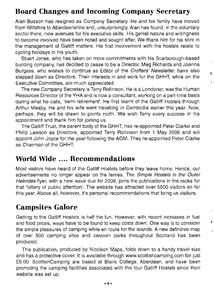# **Board Changes and Incoming Company Secretary**

Alan Busson has resigned as Company Secretary. He and his family have moved from Wiltshire to Aberdeenshire and, unsurprisingly, Alan has found, in the voluntary sector there, new avenues for his executive skills. His genial nature and willingness to become involved have been noted and sought after. We thank him for his stint in the management of Gatliff matters. His first involvement with the hostels relate to cycling holidays in his youth.

Stuart Jones, who has taken on more commitments with his Scarborough-based building company, has decided to cease to be a Director. Meg Richards and Joanna Burgess, who wishes to continue as Editor of the Crofters' Newsletter, have also stepped down as Directors. Their interests in and work for the GHHT, while on the Executive Committee, are much appreciated.

ŧ

The new Company Secretary is Terry Rollinson. He is a Londoner, was the Human Resources Director of the YHA and is now a consultant, working on a part-time basis during what he calls, 'semi-retirement'. He first learnt of the Gatliff Hostels through Arthur Meaby. He and his wife went travelling in Cambodia earlier this year. Now, perhaps, they will be drawn to points north. We wish Terry every success in his appointment and thank him for joining us.

The Gatliff Trust, the parent body of the GHHT, has re-appointed Peter Clarke and Philip Lawson as Directors, appointed Terry Rollinson from 1 May 2008 and will appoint John Joyce for the year following the AGM. They re-appointed Peter Clarke as Chairman of the GHHT.

#### **World Wide** .... **Recommendations**

Most visitors have heard of the Gatliff Hostels before they leave home. Hence, our advertisements no longer appear on the ferries. The Simple Hostels in the Outer Hebrides flyer, with a new issue due for 2009, joins the publications in the racks for that 'lottery of public attention'. The website has attracted over 5500 visitors so far this year. Above all, however, it's personal recommendations that bring us visitors.

### **Campsites Galore**

Getting to the Gatliff Hostels is half the fun. However, with recent increases in fuel and food prices, ways have to be found to keep costs down. One way is to consider the simple pleasures of camping while en route for the islands. A new definitive map of over 500 camping sites and caravan parks throughout Scotland has been produced.

This publication, produced by Nicolson Maps, folds down to a handy travel size and has a protective cover. It is available through www.scottishcamping.com for just £5.00. ScottishCamping are based at Blairs College, Aberdeen, and have been promoting the camping facilities associated with the four Gatliff Hostels since their website was set up.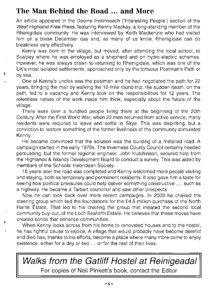## **The Man Behind the Road ... and More**

٠

An article appeared in the Daoine Inntinneach ('Interesting People') section of the West Highland Free Press, featuring Kenny Mackay, a long-standing member of the Rhenigidale community. He was interviewed by Keith Mackenzie who had visited him on a bleak December day and, as many of us know, Rhenigidale can do bleakness very effectively.

Kenny was born in the village, but moved, after attending the local school, to Scalpay where he was employed as a shepherd and on hydro-electric schemes. However, he was always drawn to returning to Rhenigidale, which was one of the UK's most isolated settlements, approached only by the tortuous Postman's Path or by sea.

One of Kenny's uncles was the postman and he had negotiated the path for 22 years, bringing the mail by walking the 12-mile round-trip. His sudden death, on the path, led to a vacancy and Kenny took on the responsibilities for 12 years. The relentless nature of the work made him think, especially about the future of the village.

There were over a hundred people living there at the beginning of the 20th Century. After the First World War, when 22 men returned from active service, many residents were required to leave and settle in Skye. This was dispiriting, but a conviction to restore something of the former liveliness of the community stimulated Kenny.

He became convinced that the solution was the building of a metalled road. A campaign started in the early 1970s. The Inverness County Council certainly needed persuading, but the former regional engineer, John Hutchinson, secured help from the Highlands & Islands Development Board to conduct a survey. This was aided by members of the Schools' Hebridean Society.

16 years later the road was completed and Kenny welcomed more people visiting and staying, both as temporary and permanent residents. It also gave him a taste for seeing how political pressures could help deliver something constructive .... such as a highway. He became a Tarbert councillor and saw other prospects.

Now he can look back over more recent campaigns. In 2003 he chaired the steering group which laid the foundations for the £4.5 million purchase of the North Harris Estate. That led to his chairing the group that initiated the second local community buy-out, of the Loch Seaforth Estate. He believes that these moves have created bonds that enhance communities.

When Kenny looks across from his home to renovated houses and to the hostel, he has rightful cause to rejoice. A village that would probably have become derelict and died has, thanks to his efforts, become a place where many more come to enjoy existence, either for a day or two ... or for the rest of their lives.

**Walks from the Gatliff Hostel at Reinigeadal**  For copies of Neil Pinkett's book, contact the Editor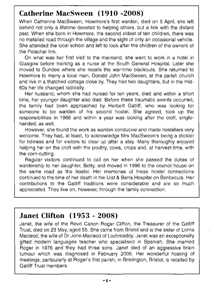# **Catherine MacSween (1910 -2008)**

When Catherine MacSween, Howmore's first warden, died on 5 April, she left behind not only a lifetime devoted to helping others, but a link with the distant past. When she born in Howmore, the second eldest of ten children, there was no metalled road through the village and the sight of only an occasional vehicle. She attended the local school and left to look after the children of the owners of the Polachar Inn.

On what was her first visit to the mainland, she went to work in a hotel in Glasgow before training as a nurse at the South General Hospital. Later she moved to Dundee where she recalls the war-time blackouts. She returned to Howmore to marry a local man, Donald John MacSween, at the parish church and live in a thatched cottage close by. They had two daughters, but in the mid-60s her life changed radically.

Her husband, whom she had nursed for ten years, died and within a short time, her younger daughter also died. Before these traumatic events occurred, the family had been approached by Herbert Gatliff, who was looking for someone to be warden of his second hostel. She agreed, took up the responsibilities in 1966 and within a year was looking after the croft, singlehanded, as well.

However, she found the work as warden conducive and made hostellers very welcome. They had, at least, to acknowledge Mrs MacSween's being a stickler for tidiness and for visitors to clear up after a stay. Many thoroughly enjoyed helping her on the croft with the poultry, cows, crops and, at harvest-time, with the corn-cutting.

Regular visitors continued to call on her when she passed the duties of wardenship to her daughter, Betty, and moved in 1996 to the council house on the same road as the hostel. Her memories of these hostel connections continued to the time of her death in the Uist & Barra Hospital on Benbecula. Her contributions to the Gatliff traditions were considerable and are so much appreciated. They live on, however, through the family connection.

#### **Janet Clifton (1953 - 2008)**

Janet, the wife of the Revd Canon Roger Clifton, the Treasurer of the Gatliff Trust, died on 23 May, aged 55. She came from Bristol and is the sister of Lorna Macleod, the wife of Dr John Macleod of Lochmaddy. Janet was an exceptionally gifted modern languages teacher who specialised in Spanish. She married Roger in 1976 and they had three sons. Janet died of an aggressive brain tumour which was diagnosed in February 2006. Her wonderful hosting of meetings, particularly at Roger's first parish, in Brislington, Bristol, is recalled by Gatliff Trust members.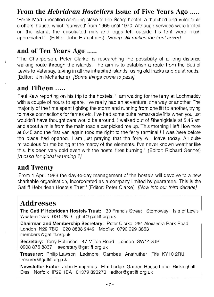#### From the *Hebridean Hostellers* Issue of Five Years Ago .....

'Frank Martin recalled camping close to the Scarp hostel, a thatched and vulnerable crofters' house, which 'survived' from 1965 until 1970. Although services were limited on the island, the unsolicited milk and eggs left outside his tent were much appreciated.' (Editor: John Humphries) [Scarp still makes the front cover]

#### and of Ten Years Ago .....

'The Chairperson, Peter Clarke, is researching the possibility of a long distance walking route through the islands. The aim is to establish a route from the Butt of Lewis to Vatersay, taking in all the inhabited islands, using old tracks and quiet roads.' (Editor: Jim McFarlane) *[Some things come to pass]* 

#### and Fifteen .....

Paul Kew reporting on his trip to the hostels: 'I am waiting for the ferry at Lochmaddy with a couple of hours to spare. I've really had an adventure, one way or another. The majority of the time spent fighting the storm and running from one lift to another, trying to make connections for ferries etc. I've had some quite remarkable lifts when you just wouldn't have thought cars would be around. I walked out of Rhenigidale at 5.45 am and about a mile from the main road a car picked me up. This morning I left Howmore at 6.45 and the first van again took me right to the ferry terminal! I was here before the place had opened. I am just praying that the ferry will leave today. All quite miraculous for me being at the mercy of the elements. I've never known weather like this. It's been very cold even with the hostel fires burning.' (Editor: Richard Genner) [A case for global warming ?]

#### and Twenty

'From 1 April 1988 the day-to-day management of the hostels will devolve to a new charitable organisation, incorporated as a company limited by guarantee. This is the Gatliff Hebridean Hostels Trust.' (Editor: Peter Clarke) [Now into our third decade]

#### Addresses

The Gatliff Hebridean Hostels Trust: 30 Francis Street Stornoway Isle of Lewis Western Isles HS1 2ND ghht@gatliff.org.uk

Chairman and Membership Secretary: Peter Clarke 264 Alexandra Park Road London N22 7BG 020 8888 2449 Mobile: 0790 999 3863 members@gatliff.org.uk

Secretary: Terry Rollinson 47 Milton Road London SW14 8JP 02088768837 secretary@gatliff.org.uk

Treasurer: Philip Lawson Ledmore Carnbee Anstruther Fife KY10 2RU tresurer@gatliff.org.uk

Newsletter Editor: John Humphries Elm Lodge Garden House Lane Rickinghall Diss Norfolk IP22 1EA 01379 890270 editor@gatliff.org.uk